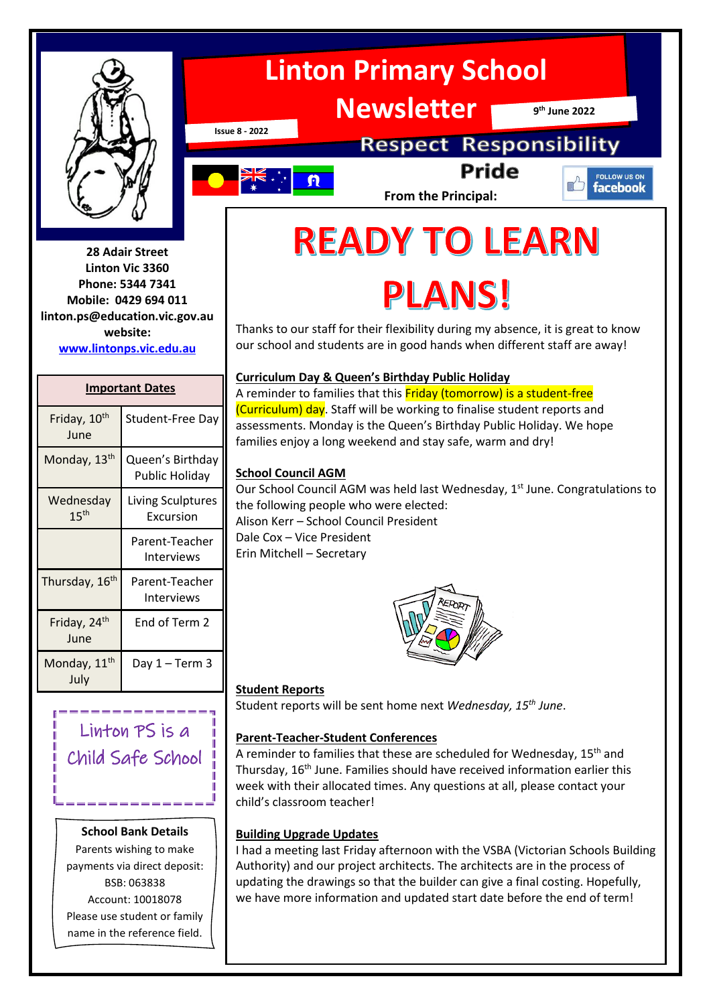

**28 Adair Street Linton Vic 3360 Phone: 5344 7341 Mobile: 0429 694 011 linton.ps@education.vic.gov.au website: [www.lintonps.vic.edu.au](http://www.lintonps.vic.edu.au/)**

#### **Important Dates**

| Friday, 10 <sup>th</sup><br>June | Student-Free Day                          |
|----------------------------------|-------------------------------------------|
| Monday, 13 <sup>th</sup>         | Queen's Birthday<br><b>Public Holiday</b> |
| Wednesday<br>15 <sup>th</sup>    | <b>Living Sculptures</b><br>Excursion     |
|                                  | Parent-Teacher<br>Interviews              |
| Thursday, 16 <sup>th</sup>       | Parent-Teacher<br>Interviews              |
| Friday, 24 <sup>th</sup><br>June | End of Term 2                             |
| Monday, 11 <sup>th</sup><br>July | Day 1 – Term 3                            |

# Linton PS is a Child Safe School

#### **School Bank Details**

Parents wishing to make payments via direct deposit: BSB: 063838 Account: 10018078 Please use student or family name in the reference field.



**Newsletter**

**9 th June 2022**

**Issue 8 - 2022**

# **Respect Responsibility Pride**



**From the Principal:**

#### FOLLOW US ON facebook

# **READY TO LEARN**

# PLANS!

Thanks to our staff for their flexibility during my absence, it is great to know our school and students are in good hands when different staff are away!

#### **Curriculum Day & Queen's Birthday Public Holiday**

A reminder to families that this Friday (tomorrow) is a student-free (Curriculum) day. Staff will be working to finalise student reports and assessments. Monday is the Queen's Birthday Public Holiday. We hope families enjoy a long weekend and stay safe, warm and dry!

#### **School Council AGM**

Our School Council AGM was held last Wednesday, 1st June. Congratulations to the following people who were elected: Alison Kerr – School Council President Dale Cox – Vice President Erin Mitchell – Secretary



#### **Student Reports**

Student reports will be sent home next *Wednesday, 15th June*.

#### **Parent-Teacher-Student Conferences**

A reminder to families that these are scheduled for Wednesday, 15<sup>th</sup> and Thursday, 16<sup>th</sup> June. Families should have received information earlier this week with their allocated times. Any questions at all, please contact your child's classroom teacher!

#### **Building Upgrade Updates**

I had a meeting last Friday afternoon with the VSBA (Victorian Schools Building Authority) and our project architects. The architects are in the process of updating the drawings so that the builder can give a final costing. Hopefully, we have more information and updated start date before the end of term!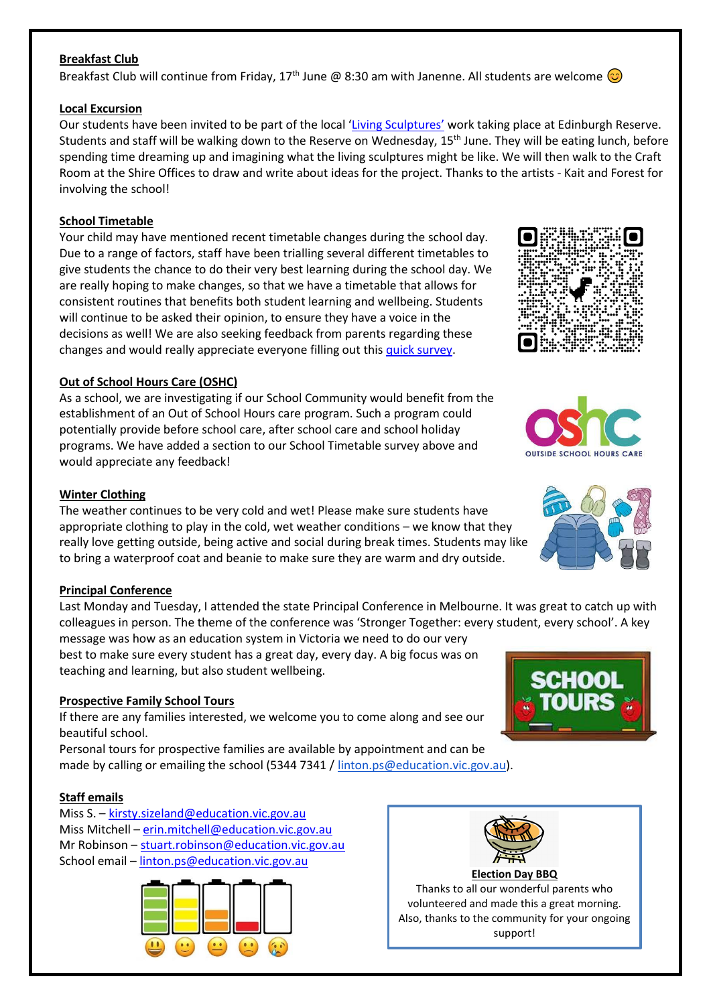#### **Breakfast Club**

Breakfast Club will continue from Friday, 17<sup>th</sup> June @ 8:30 am with Janenne. All students are welcome  $\odot$ 

#### **Local Excursion**

Our students have been invited to be part of the local '[Living Sculptures](https://www.goldenplains.vic.gov.au/news/reimagine-public-art-linton)' work taking place at Edinburgh Reserve. Students and staff will be walking down to the Reserve on Wednesday, 15<sup>th</sup> June. They will be eating lunch, before spending time dreaming up and imagining what the living sculptures might be like. We will then walk to the Craft Room at the Shire Offices to draw and write about ideas for the project. Thanks to the artists - Kait and Forest for involving the school!

#### **School Timetable**

Your child may have mentioned recent timetable changes during the school day. Due to a range of factors, staff have been trialling several different timetables to give students the chance to do their very best learning during the school day. We are really hoping to make changes, so that we have a timetable that allows for consistent routines that benefits both student learning and wellbeing. Students will continue to be asked their opinion, to ensure they have a voice in the decisions as well! We are also seeking feedback from parents regarding these changes and would really appreciate everyone filling out this [quick survey.](https://forms.gle/Eq7Df5VJJgLhxcZ67)

#### **Out of School Hours Care (OSHC)**

As a school, we are investigating if our School Community would benefit from the establishment of an Out of School Hours care program. Such a program could potentially provide before school care, after school care and school holiday programs. We have added a section to our School Timetable survey above and would appreciate any feedback!

#### **Winter Clothing**

The weather continues to be very cold and wet! Please make sure students have appropriate clothing to play in the cold, wet weather conditions – we know that they really love getting outside, being active and social during break times. Students may like to bring a waterproof coat and beanie to make sure they are warm and dry outside.

#### **Principal Conference**

Last Monday and Tuesday, I attended the state Principal Conference in Melbourne. It was great to catch up with colleagues in person. The theme of the conference was 'Stronger Together: every student, every school'. A key

message was how as an education system in Victoria we need to do our very best to make sure every student has a great day, every day. A big focus was on teaching and learning, but also student wellbeing.

#### **Prospective Family School Tours**

If there are any families interested, we welcome you to come along and see our beautiful school.

Personal tours for prospective families are available by appointment and can be made by calling or emailing the school (5344 7341 [/ linton.ps@education.vic.gov.au\)](mailto:linton.ps@education.vic.gov.au).

#### **Staff emails**

Miss S. – [kirsty.sizeland@education.vic.gov.au](mailto:kirsty.sizeland@education.vic.gov.au) Miss Mitchell – [erin.mitchell@education.vic.gov.au](mailto:erin.mitchell@education.vic.gov.au) Mr Robinson – [stuart.robinson@education.vic.gov.au](mailto:stuart.robinson@education.vic.gov.au) School email – [linton.ps@education.vic.gov.au](mailto:linton.ps@education.vic.gov.au)















support!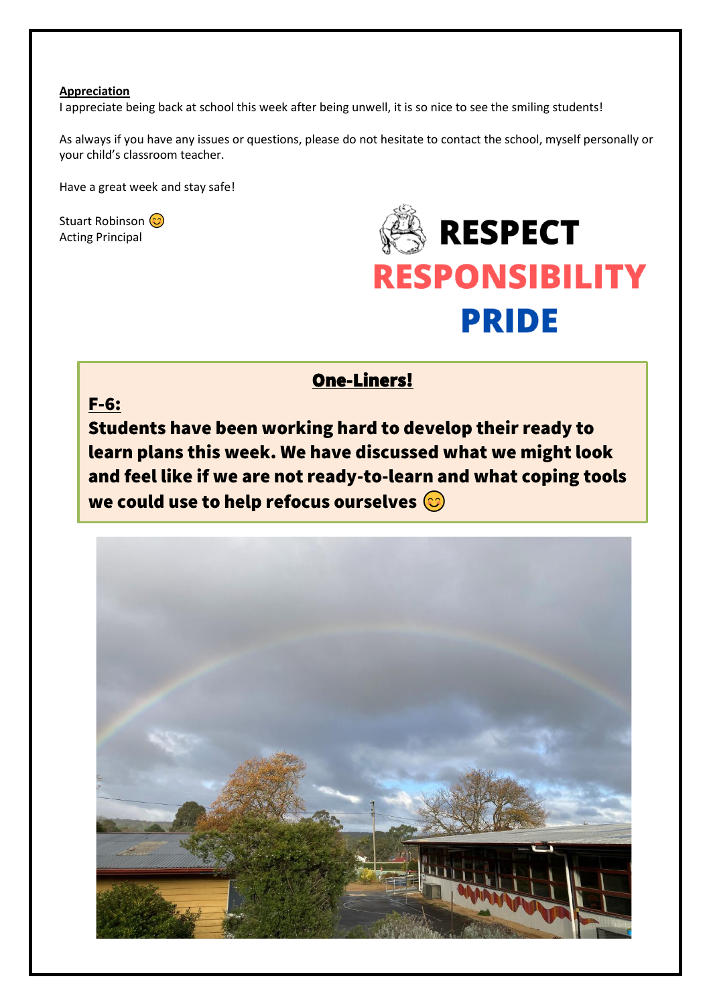#### **Appreciation**

I appreciate being back at school this week after being unwell, it is so nice to see the smiling students!

As always if you have any issues or questions, please do not hesitate to contact the school, myself personally or your child's classroom teacher.

Have a great week and stay safe!

Stuart Robinson (C) Acting Principal



### One-Liners!

# F-6: Students have been working hard to develop their ready to learn plans this week. We have discussed what we might look and feel like if we are not ready-to-learn and what coping tools we could use to help refocus ourselves  $\odot$